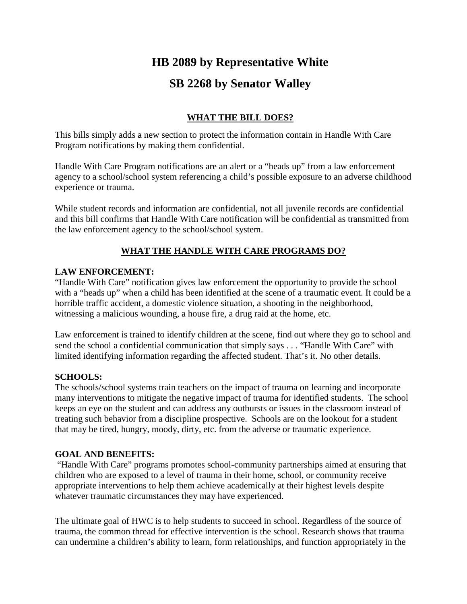# **HB 2089 by Representative White SB 2268 by Senator Walley**

# **WHAT THE BILL DOES?**

This bills simply adds a new section to protect the information contain in Handle With Care Program notifications by making them confidential.

Handle With Care Program notifications are an alert or a "heads up" from a law enforcement agency to a school/school system referencing a child's possible exposure to an adverse childhood experience or trauma.

While student records and information are confidential, not all juvenile records are confidential and this bill confirms that Handle With Care notification will be confidential as transmitted from the law enforcement agency to the school/school system.

## **WHAT THE HANDLE WITH CARE PROGRAMS DO?**

#### **LAW ENFORCEMENT:**

"Handle With Care" notification gives law enforcement the opportunity to provide the school with a "heads up" when a child has been identified at the scene of a traumatic event. It could be a horrible traffic accident, a domestic violence situation, a shooting in the neighborhood, witnessing a malicious wounding, a house fire, a drug raid at the home, etc.

Law enforcement is trained to identify children at the scene, find out where they go to school and send the school a confidential communication that simply says . . . "Handle With Care" with limited identifying information regarding the affected student. That's it. No other details.

## **SCHOOLS:**

The schools/school systems train teachers on the impact of trauma on learning and incorporate many interventions to mitigate the negative impact of trauma for identified students. The school keeps an eye on the student and can address any outbursts or issues in the classroom instead of treating such behavior from a discipline prospective. Schools are on the lookout for a student that may be tired, hungry, moody, dirty, etc. from the adverse or traumatic experience.

#### **GOAL AND BENEFITS:**

"Handle With Care" programs promotes school-community partnerships aimed at ensuring that children who are exposed to a level of trauma in their home, school, or community receive appropriate interventions to help them achieve academically at their highest levels despite whatever traumatic circumstances they may have experienced.

The ultimate goal of HWC is to help students to succeed in school. Regardless of the source of trauma, the common thread for effective intervention is the school. Research shows that trauma can undermine a children's ability to learn, form relationships, and function appropriately in the